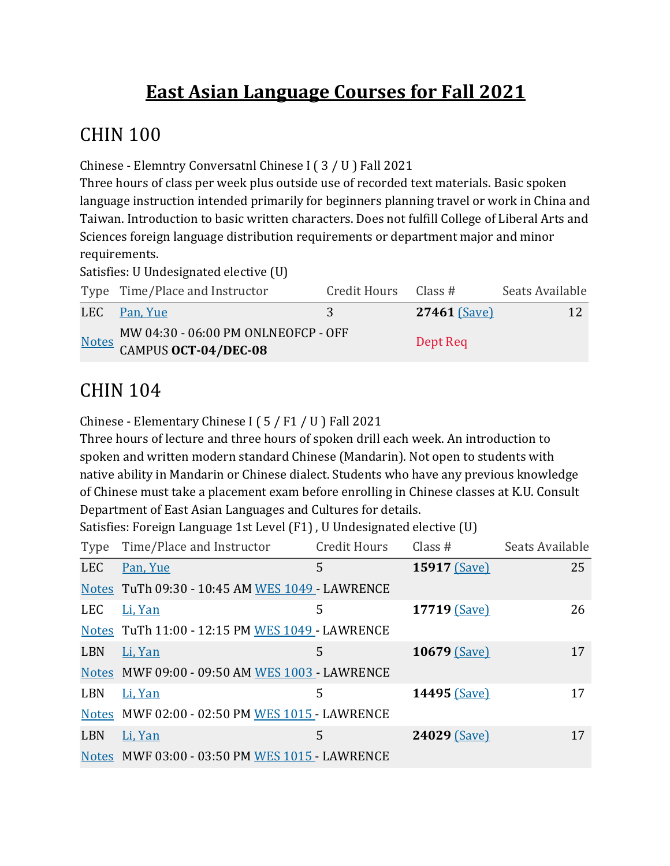## **East Asian Language Courses for Fall 2021**

#### CHIN 100

Chinese - Elemntry Conversatnl Chinese I (3 / U ) Fall 2021

Three hours of class per week plus outside use of recorded text materials. Basic spoken language instruction intended primarily for beginners planning travel or work in China and Taiwan. Introduction to basic written characters. Does not fulfill College of Liberal Arts and Sciences foreign language distribution requirements or department major and minor requirements.

Satisfies: U Undesignated elective (U)

| Type Time/Place and Instructor                                    | Credit Hours Class # |                | Seats Available |
|-------------------------------------------------------------------|----------------------|----------------|-----------------|
| LEC Pan, Yue                                                      | 3                    | $27461$ (Save) | 12              |
| MOTEL MW 04:30 - 06:00 PM ONLNEOFCP - OFF<br>CAMPUS OCT-04/DEC-08 |                      | Dept Req       |                 |

#### **CHIN 104**

Chinese - Elementary Chinese I ( $5/ F1 / U$ ) Fall 2021

Three hours of lecture and three hours of spoken drill each week. An introduction to spoken and written modern standard Chinese (Mandarin). Not open to students with native ability in Mandarin or Chinese dialect. Students who have any previous knowledge of Chinese must take a placement exam before enrolling in Chinese classes at K.U. Consult Department of East Asian Languages and Cultures for details.

Satisfies: Foreign Language 1st Level  $(F1)$ , U Undesignated elective  $(U)$ 

| Type       | Time/Place and Instructor                       | <b>Credit Hours</b> | Class #      | Seats Available |
|------------|-------------------------------------------------|---------------------|--------------|-----------------|
| <b>LEC</b> | Pan, Yue                                        | 5                   | 15917 (Save) | 25              |
|            | Notes TuTh 09:30 - 10:45 AM WES 1049 - LAWRENCE |                     |              |                 |
| <b>LEC</b> | Li, Yan                                         | 5                   | 17719 (Save) | 26              |
|            | Notes TuTh 11:00 - 12:15 PM WES 1049 - LAWRENCE |                     |              |                 |
| LBN        | Li, Yan                                         | 5                   | 10679 (Save) | 17              |
|            | Notes MWF 09:00 - 09:50 AM WES 1003 - LAWRENCE  |                     |              |                 |
| <b>LBN</b> | Li, Yan                                         | 5                   | 14495 (Save) | 17              |
|            | Notes MWF 02:00 - 02:50 PM WES 1015 - LAWRENCE  |                     |              |                 |
| <b>LBN</b> | Li, Yan                                         | 5                   | 24029 (Save) | 17              |
|            | Notes MWF 03:00 - 03:50 PM WES 1015 - LAWRENCE  |                     |              |                 |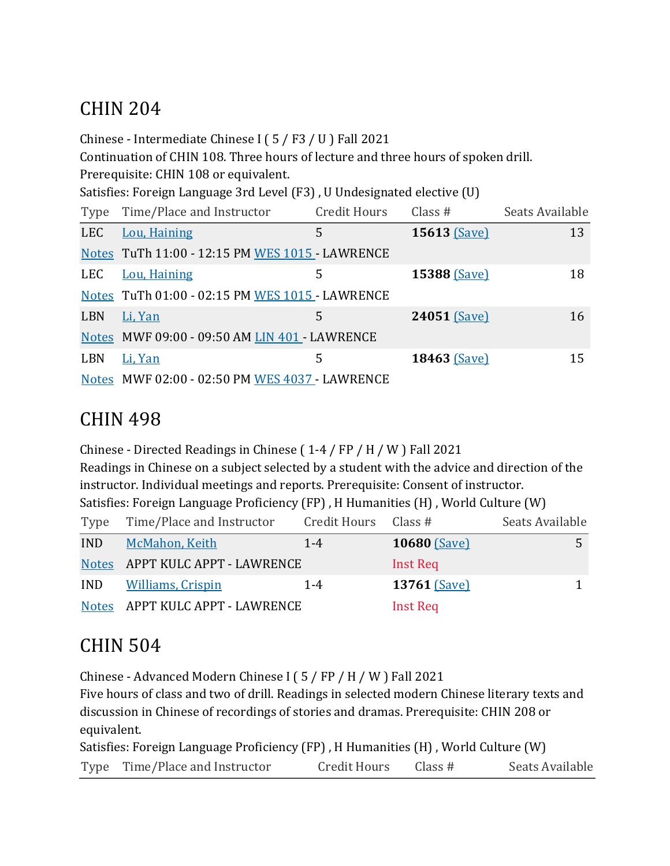## CHIN 204

Chinese - Intermediate Chinese I ( $5$  / F3 / U ) Fall 2021

Continuation of CHIN 108. Three hours of lecture and three hours of spoken drill.

Prerequisite: CHIN 108 or equivalent.

Satisfies: Foreign Language 3rd Level (F3), U Undesignated elective (U)

| Type       | Time/Place and Instructor                       | <b>Credit Hours</b> | Class $#$    | Seats Available |
|------------|-------------------------------------------------|---------------------|--------------|-----------------|
| <b>LEC</b> | Lou, Haining                                    | 5                   | 15613 (Save) | 13              |
|            | Notes TuTh 11:00 - 12:15 PM WES 1015 - LAWRENCE |                     |              |                 |
| <b>LEC</b> | Lou, Haining                                    | 5                   | 15388 (Save) | 18              |
|            | Notes TuTh 01:00 - 02:15 PM WES 1015 - LAWRENCE |                     |              |                 |
| <b>LBN</b> | Li, Yan                                         | 5                   | 24051 (Save) | 16              |
|            | Notes MWF 09:00 - 09:50 AM LIN 401 - LAWRENCE   |                     |              |                 |
| <b>LBN</b> | Li, Yan                                         | 5                   | 18463 (Save) | 15              |
|            | Notes MWF 02:00 - 02:50 PM WES 4037 - LAWRENCE  |                     |              |                 |

#### CHIN 498

Chinese - Directed Readings in Chinese ( $1-4$  / FP / H / W ) Fall 2021 Readings in Chinese on a subject selected by a student with the advice and direction of the instructor. Individual meetings and reports. Prerequisite: Consent of instructor. Satisfies: Foreign Language Proficiency (FP), H Humanities (H), World Culture (W) Type Time/Place and Instructor Credit Hours Class # Seats Available

| <b>IND</b> | McMahon, Keith                  | $1 - 4$ | <b>10680 (Save)</b> |  |
|------------|---------------------------------|---------|---------------------|--|
|            | Notes APPT KULC APPT - LAWRENCE |         | Inst Req            |  |
| <b>IND</b> | <b>Williams, Crispin</b>        | $1 - 4$ | $13761$ (Save)      |  |
|            | Notes APPT KULC APPT - LAWRENCE |         | <b>Inst Req</b>     |  |

## **CHIN 504**

Chinese - Advanced Modern Chinese I ( $5$  / FP / H / W ) Fall 2021

Five hours of class and two of drill. Readings in selected modern Chinese literary texts and discussion in Chinese of recordings of stories and dramas. Prerequisite: CHIN 208 or equivalent.

| Satisfies: Foreign Language Proficiency (FP), H Humanities (H), World Culture (W) |              |         |                 |
|-----------------------------------------------------------------------------------|--------------|---------|-----------------|
| Type Time/Place and Instructor                                                    | Credit Hours | Class # | Seats Available |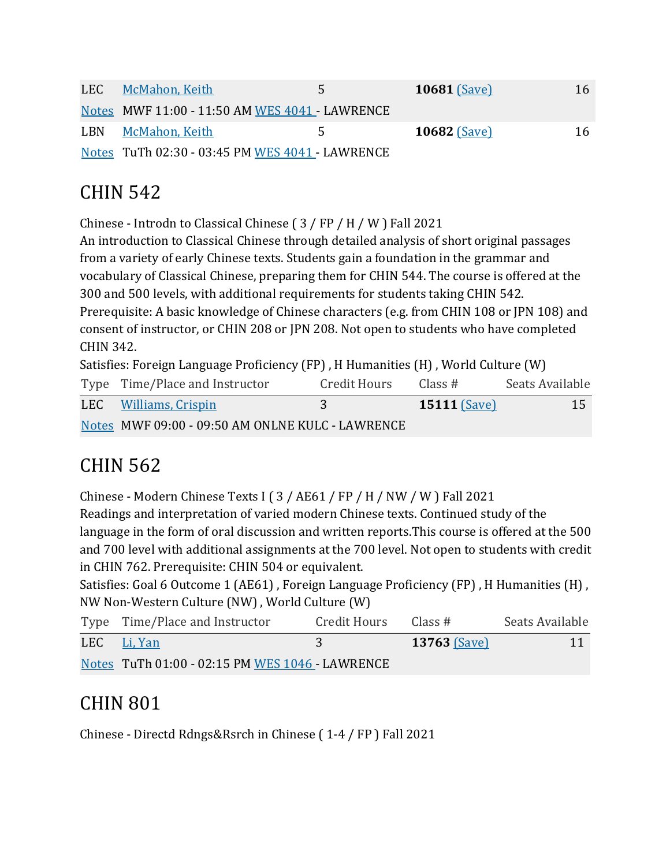| LEC | McMahon, Keith                                  | 5. | <b>10681 (Save)</b> | 16 |
|-----|-------------------------------------------------|----|---------------------|----|
|     | Notes MWF 11:00 - 11:50 AM WES 4041 - LAWRENCE  |    |                     |    |
|     | LBN McMahon, Keith                              | 5. | $10682$ (Save)      | 16 |
|     | Notes TuTh 02:30 - 03:45 PM WES 4041 - LAWRENCE |    |                     |    |

## CHIN 542

Chinese - Introdn to Classical Chinese  $(3 / FP / H / W)$  Fall 2021

An introduction to Classical Chinese through detailed analysis of short original passages from a variety of early Chinese texts. Students gain a foundation in the grammar and vocabulary of Classical Chinese, preparing them for CHIN 544. The course is offered at the 300 and 500 levels, with additional requirements for students taking CHIN 542. Prerequisite: A basic knowledge of Chinese characters (e.g. from CHIN 108 or JPN 108) and consent of instructor, or CHIN 208 or JPN 208. Not open to students who have completed CHIN 342.

Satisfies: Foreign Language Proficiency (FP), H Humanities (H), World Culture (W)

| Type Time/Place and Instructor                   | Credit Hours  | Class #        | Seats Available |
|--------------------------------------------------|---------------|----------------|-----------------|
| LEC Williams, Crispin                            | $\mathcal{R}$ | $15111$ (Save) | 15              |
| Notes MWF 09:00 - 09:50 AM ONLNE KULC - LAWRENCE |               |                |                 |

## CHIN 562

Chinese - Modern Chinese Texts I ( $3$  / AE61 / FP / H / NW / W ) Fall 2021 Readings and interpretation of varied modern Chinese texts. Continued study of the language in the form of oral discussion and written reports. This course is offered at the 500 and 700 level with additional assignments at the 700 level. Not open to students with credit in CHIN 762. Prerequisite: CHIN 504 or equivalent.

Satisfies: Goal 6 Outcome 1 (AE61), Foreign Language Proficiency (FP), H Humanities (H), NW Non-Western Culture (NW), World Culture (W)

| Type Time/Place and Instructor                  | Credit Hours | Class #             | Seats Available |
|-------------------------------------------------|--------------|---------------------|-----------------|
| LEC Li, Yan                                     |              | <b>13763 (Save)</b> | 11              |
| Notes TuTh 01:00 - 02:15 PM WES 1046 - LAWRENCE |              |                     |                 |

## CHIN 801

Chinese - Directd Rdngs&Rsrch in Chinese (1-4 / FP ) Fall 2021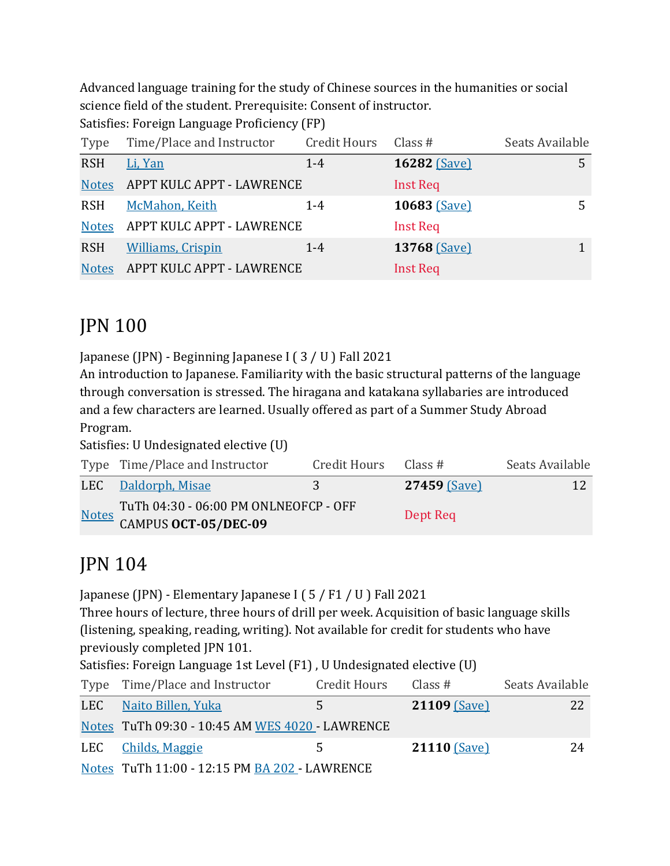Advanced language training for the study of Chinese sources in the humanities or social science field of the student. Prerequisite: Consent of instructor.

Satisfies: Foreign Language Proficiency (FP)

| Type         | Time/Place and Instructor | Credit Hours | Class #         | Seats Available |
|--------------|---------------------------|--------------|-----------------|-----------------|
| <b>RSH</b>   | Li, Yan                   | $1 - 4$      | 16282 (Save)    | 5               |
| <b>Notes</b> | APPT KULC APPT - LAWRENCE |              | <b>Inst Req</b> |                 |
| <b>RSH</b>   | McMahon, Keith            | $1 - 4$      | 10683 (Save)    |                 |
| <b>Notes</b> | APPT KULC APPT - LAWRENCE |              | <b>Inst Req</b> |                 |
| <b>RSH</b>   | <b>Williams, Crispin</b>  | $1 - 4$      | 13768 (Save)    |                 |
| <b>Notes</b> | APPT KULC APPT - LAWRENCE |              | <b>Inst Req</b> |                 |

## JPN 100

Japanese (JPN) - Beginning Japanese I ( $3 / U$ ) Fall 2021

An introduction to Japanese. Familiarity with the basic structural patterns of the language through conversation is stressed. The hiragana and katakana syllabaries are introduced and a few characters are learned. Usually offered as part of a Summer Study Abroad Program.

Satisfies: U Undesignated elective (U)

| Type Time/Place and Instructor        | Credit Hours | Class #      | Seats Available |
|---------------------------------------|--------------|--------------|-----------------|
| LEC Daldorph, Misae                   | 3            | 27459 (Save) | 12              |
| TuTh 04:30 - 06:00 PM ONLNEOFCP - OFF |              | Dept Req     |                 |
| Notes CAMPUS OCT-05/DEC-09            |              |              |                 |

## JPN 104

Japanese (JPN) - Elementary Japanese I (5 / F1 / U ) Fall 2021

Three hours of lecture, three hours of drill per week. Acquisition of basic language skills (listening, speaking, reading, writing). Not available for credit for students who have previously completed JPN 101.

Satisfies: Foreign Language 1st Level (F1), U Undesignated elective (U)

| Type Time/Place and Instructor                  | <b>Credit Hours</b> | Class #             | Seats Available |
|-------------------------------------------------|---------------------|---------------------|-----------------|
| LEC Naito Billen, Yuka                          | 5.                  | <b>21109 (Save)</b> | 22              |
| Notes TuTh 09:30 - 10:45 AM WES 4020 - LAWRENCE |                     |                     |                 |
| LEC Childs, Maggie                              | 5.                  | <b>21110 (Save)</b> | 24              |
| Notes TuTh 11:00 - 12:15 PM BA 202 - LAWRENCE   |                     |                     |                 |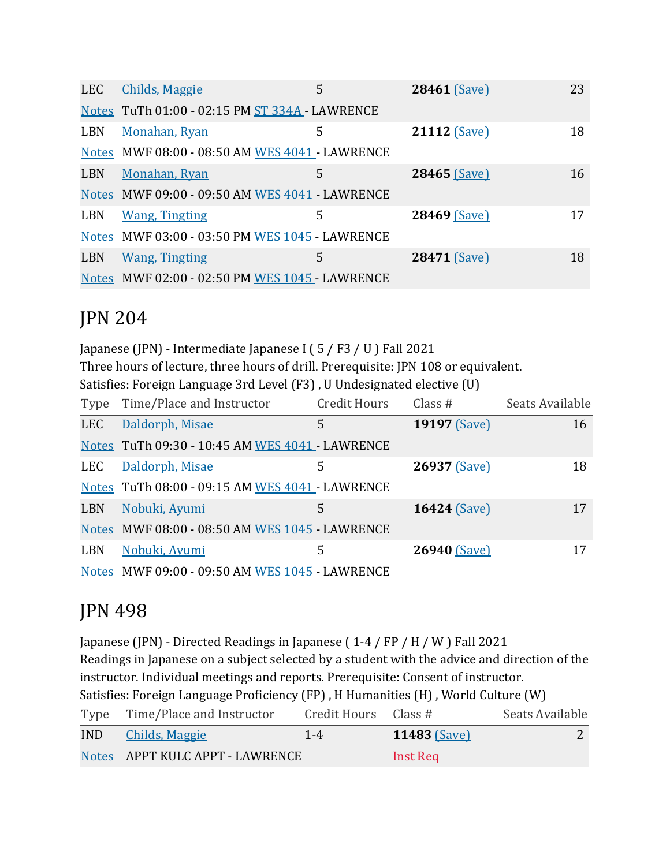| <b>LEC</b> | <b>Childs, Maggie</b>                          | 5 | 28461 (Save) | 23 |
|------------|------------------------------------------------|---|--------------|----|
|            | Notes TuTh 01:00 - 02:15 PM ST 334A - LAWRENCE |   |              |    |
| <b>LBN</b> | Monahan, Ryan                                  | 5 | 21112 (Save) | 18 |
|            | Notes MWF 08:00 - 08:50 AM WES 4041 - LAWRENCE |   |              |    |
| <b>LBN</b> | Monahan, Ryan                                  | 5 | 28465 (Save) | 16 |
|            | Notes MWF 09:00 - 09:50 AM WES 4041 - LAWRENCE |   |              |    |
| LBN        | <b>Wang, Tingting</b>                          | 5 | 28469 (Save) | 17 |
|            | Notes MWF 03:00 - 03:50 PM WES 1045 - LAWRENCE |   |              |    |
| <b>LBN</b> | <b>Wang, Tingting</b>                          | 5 | 28471 (Save) | 18 |
|            | Notes MWF 02:00 - 02:50 PM WES 1045 - LAWRENCE |   |              |    |

## JPN 204

Japanese (JPN) - Intermediate Japanese I (5 / F3 / U ) Fall 2021 Three hours of lecture, three hours of drill. Prerequisite: JPN 108 or equivalent. Satisfies: Foreign Language 3rd Level (F3), U Undesignated elective (U)

| Type       | Time/Place and Instructor                       | <b>Credit Hours</b> | Class $#$    | Seats Available |
|------------|-------------------------------------------------|---------------------|--------------|-----------------|
| <b>LEC</b> | Daldorph, Misae                                 | 5                   | 19197 (Save) | 16              |
|            | Notes TuTh 09:30 - 10:45 AM WES 4041 - LAWRENCE |                     |              |                 |
| LEC        | Daldorph, Misae                                 | 5                   | 26937 (Save) | 18              |
|            | Notes TuTh 08:00 - 09:15 AM WES 4041 - LAWRENCE |                     |              |                 |
| <b>LBN</b> | Nobuki, Ayumi                                   | 5                   | 16424 (Save) | 17              |
|            | Notes MWF 08:00 - 08:50 AM WES 1045 - LAWRENCE  |                     |              |                 |
| LBN        | Nobuki, Ayumi                                   | 5                   | 26940 (Save) | 17              |
|            | Notes MWF 09:00 - 09:50 AM WES 1045 - LAWRENCE  |                     |              |                 |

## JPN 498

Japanese (JPN) - Directed Readings in Japanese (1-4 / FP / H / W ) Fall 2021 Readings in Japanese on a subject selected by a student with the advice and direction of the instructor. Individual meetings and reports. Prerequisite: Consent of instructor. Satisfies: Foreign Language Proficiency (FP), H Humanities (H), World Culture (W) Type Time/Place and Instructor Credit Hours Class # Seats Available

| <b>IND</b> | <u>Childs, Maggie</u>           | $1 - 4$ | $11483$ $(Save)$ |  |
|------------|---------------------------------|---------|------------------|--|
|            | Notes APPT KULC APPT - LAWRENCE |         | Inst Req         |  |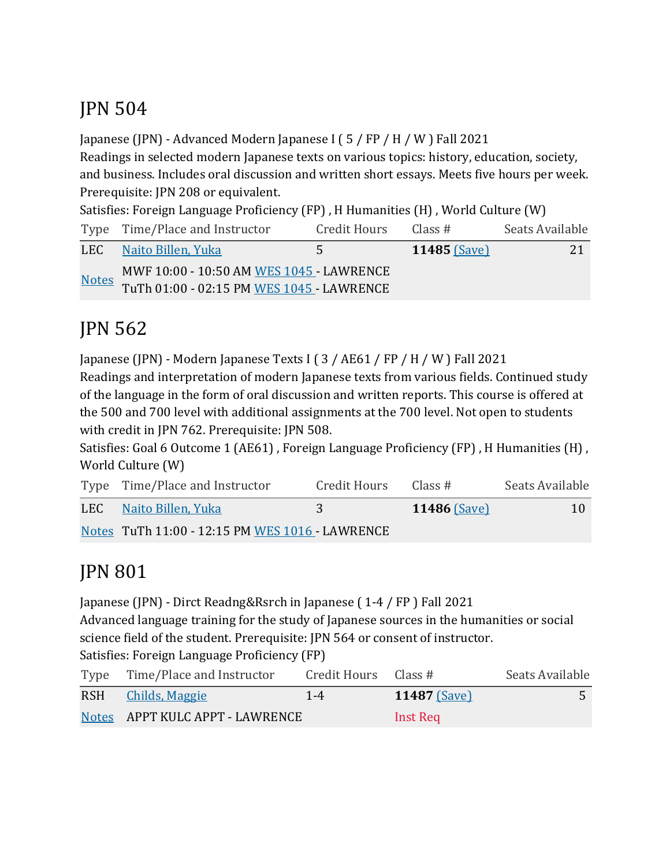## JPN 504

Japanese (JPN) - Advanced Modern Japanese I ( $5$  / FP / H / W ) Fall 2021

Readings in selected modern Japanese texts on various topics: history, education, society, and business. Includes oral discussion and written short essays. Meets five hours per week. Prerequisite: JPN 208 or equivalent.

Satisfies: Foreign Language Proficiency  $(FP)$ , H Humanities  $(H)$ , World Culture  $(W)$ 

| Type Time/Place and Instructor                     | Credit Hours | Class #        | Seats Available |
|----------------------------------------------------|--------------|----------------|-----------------|
| LEC Naito Billen, Yuka                             | 5.           | 11485 $(Save)$ | 21              |
| MWF 10:00 - 10:50 AM WES 1045 - LAWRENCE           |              |                |                 |
| Notes<br>TuTh 01:00 - 02:15 PM WES 1045 - LAWRENCE |              |                |                 |

# JPN 562

Japanese (JPN) - Modern Japanese Texts I ( $3$  / AE61 / FP / H / W ) Fall 2021

Readings and interpretation of modern Japanese texts from various fields. Continued study of the language in the form of oral discussion and written reports. This course is offered at the 500 and 700 level with additional assignments at the 700 level. Not open to students with credit in JPN 762. Prerequisite: JPN 508.

Satisfies: Goal 6 Outcome 1 (AE61), Foreign Language Proficiency (FP), H Humanities (H), World Culture (W)

| Type Time/Place and Instructor                  | Credit Hours | Class #      | Seats Available |
|-------------------------------------------------|--------------|--------------|-----------------|
| LEC Naito Billen, Yuka                          | 3            | 11486 (Save) | 10              |
| Notes TuTh 11:00 - 12:15 PM WES 1016 - LAWRENCE |              |              |                 |

# JPN 801

Japanese (JPN) - Dirct Readng&Rsrch in Japanese (1-4 / FP) Fall 2021 Advanced language training for the study of Japanese sources in the humanities or social

science field of the student. Prerequisite: JPN 564 or consent of instructor. Satisfies: Foreign Language Proficiency (FP)

| $\mathbf{u}$ , $\mathbf{u}$ , $\mathbf{u}$ , $\mathbf{u}$ , $\mathbf{u}$ , $\mathbf{u}$ , $\mathbf{u}$ , $\mathbf{u}$ , $\mathbf{u}$ , $\mathbf{u}$ , $\mathbf{u}$ , $\mathbf{u}$ , $\mathbf{u}$ , $\mathbf{u}$ , $\mathbf{u}$ , $\mathbf{u}$ , $\mathbf{u}$ , $\mathbf{u}$ , $\mathbf{u}$ , $\mathbf{u}$ , |                           |                     |                 |
|-------------------------------------------------------------------------------------------------------------------------------------------------------------------------------------------------------------------------------------------------------------------------------------------------------------|---------------------------|---------------------|-----------------|
| Type Time/Place and Instructor                                                                                                                                                                                                                                                                              | Credit Hours $\;$ Class # |                     | Seats Available |
| RSH Childs, Maggie                                                                                                                                                                                                                                                                                          | $1 - 4$                   | <b>11487</b> (Save) |                 |
| Notes APPT KULC APPT - LAWRENCE                                                                                                                                                                                                                                                                             |                           | Inst Req            |                 |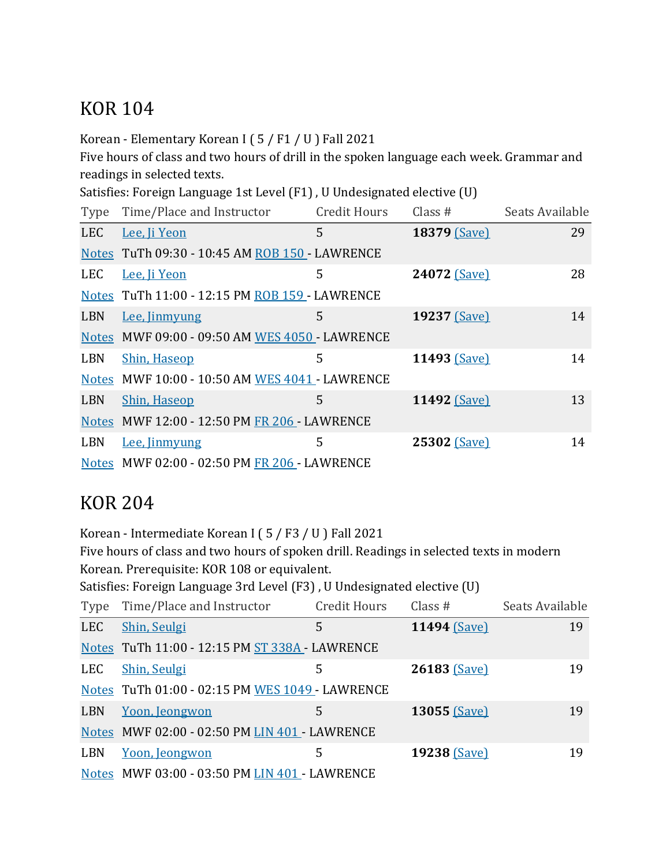## **KOR 104**

Korean - Elementary Korean I ( $5/ F1 / U$ ) Fall 2021

Five hours of class and two hours of drill in the spoken language each week. Grammar and readings in selected texts.

Satisfies: Foreign Language 1st Level (F1), U Undesignated elective (U)

| Type       | Time/Place and Instructor                      | <b>Credit Hours</b> | Class $#$    | Seats Available |
|------------|------------------------------------------------|---------------------|--------------|-----------------|
| <b>LEC</b> | Lee, Ji Yeon                                   | 5                   | 18379 (Save) | 29              |
|            | Notes TuTh 09:30 - 10:45 AM ROB 150 - LAWRENCE |                     |              |                 |
| <b>LEC</b> | Lee, Ji Yeon                                   | 5                   | 24072 (Save) | 28              |
|            | Notes TuTh 11:00 - 12:15 PM ROB 159 - LAWRENCE |                     |              |                 |
| <b>LBN</b> | Lee, Jinmyung                                  | 5                   | 19237 (Save) | 14              |
|            | Notes MWF 09:00 - 09:50 AM WES 4050 - LAWRENCE |                     |              |                 |
| <b>LBN</b> | <b>Shin, Haseop</b>                            | 5                   | 11493 (Save) | 14              |
|            | Notes MWF 10:00 - 10:50 AM WES 4041 - LAWRENCE |                     |              |                 |
| LBN        | <b>Shin, Haseop</b>                            | 5                   | 11492 (Save) | 13              |
|            | Notes MWF 12:00 - 12:50 PM FR 206 - LAWRENCE   |                     |              |                 |
| <b>LBN</b> | Lee, Jinmyung                                  | 5                   | 25302 (Save) | 14              |
|            | Notes MWF 02:00 - 02:50 PM FR 206 - LAWRENCE   |                     |              |                 |

#### KOR 204

Korean - Intermediate Korean I ( $5$  / F3 / U ) Fall 2021

Five hours of class and two hours of spoken drill. Readings in selected texts in modern Korean. Prerequisite: KOR 108 or equivalent.

Satisfies: Foreign Language 3rd Level (F3), U Undesignated elective (U)

| Type       | Time/Place and Instructor                       | <b>Credit Hours</b> | Class $#$    | Seats Available |
|------------|-------------------------------------------------|---------------------|--------------|-----------------|
| <b>LEC</b> | Shin, Seulgi                                    | 5                   | 11494 (Save) | 19              |
|            | Notes TuTh 11:00 - 12:15 PM ST 338A - LAWRENCE  |                     |              |                 |
| LEC        | Shin, Seulgi                                    | 5                   | 26183 (Save) | 19              |
|            | Notes TuTh 01:00 - 02:15 PM WES 1049 - LAWRENCE |                     |              |                 |
| <b>LBN</b> | Yoon, Jeongwon                                  | 5                   | 13055 (Save) | 19              |
|            | Notes MWF 02:00 - 02:50 PM LIN 401 - LAWRENCE   |                     |              |                 |
| <b>LBN</b> | Yoon, Jeongwon                                  | 5                   | 19238 (Save) | 19              |
|            | Notes MWF 03:00 - 03:50 PM LIN 401 - LAWRENCE   |                     |              |                 |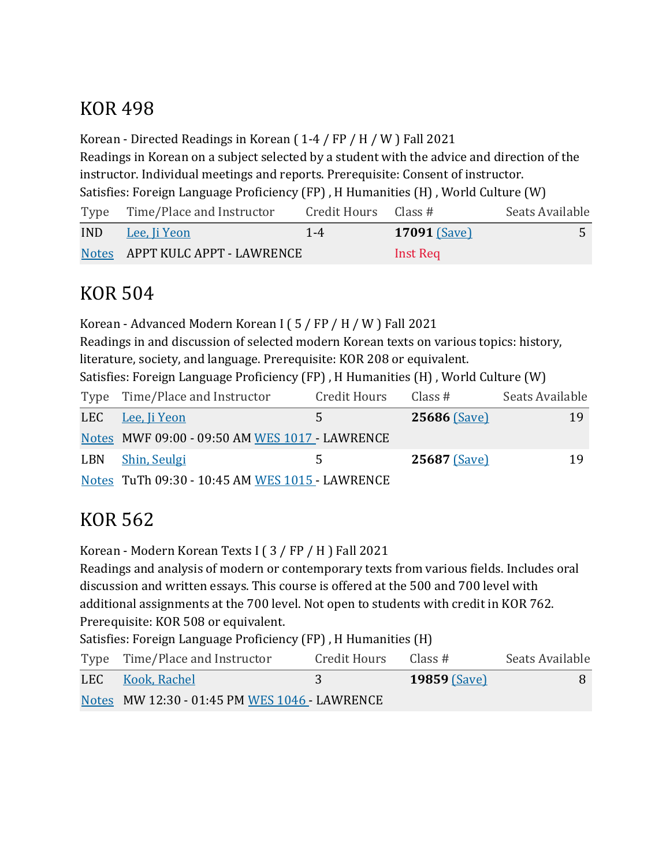## KOR 498

Korean - Directed Readings in Korean  $(1-4 / FP / H / W)$  Fall 2021 Readings in Korean on a subject selected by a student with the advice and direction of the instructor. Individual meetings and reports. Prerequisite: Consent of instructor. Satisfies: Foreign Language Proficiency (FP), H Humanities (H), World Culture (W)

Type Time/Place and Instructor Credit Hours Class # Seats Available **IND** Lee, Ii Yeon 1-4 **17091** (Save) Notes APPT KULC APPT - LAWRENCE Inst Req

## KOR 504

Korean - Advanced Modern Korean I ( $5$  / FP / H / W ) Fall 2021 Readings in and discussion of selected modern Korean texts on various topics: history, literature, society, and language. Prerequisite: KOR 208 or equivalent. Satisfies: Foreign Language Proficiency (FP), H Humanities (H), World Culture (W) Type Time/Place and Instructor Credit Hours Class # Seats Available LEC Lee, Ji Yeon 5 **25686** (Save) 19 Notes MWF 09:00 - 09:50 AM WES 1017 - LAWRENCE LBN Shin, Seulgi 5 **25687** (Save) 19 Notes TuTh 09:30 - 10:45 AM WES 1015 - LAWRENCE

# KOR 562

Korean - Modern Korean Texts I  $(3 / FP / H)$  Fall 2021

Readings and analysis of modern or contemporary texts from various fields. Includes oral discussion and written essays. This course is offered at the 500 and 700 level with additional assignments at the 700 level. Not open to students with credit in KOR 762. Prerequisite: KOR 508 or equivalent.

Satisfies: Foreign Language Proficiency (FP), H Humanities (H)

| Type Time/Place and Instructor                | Credit Hours | Class #        | Seats Available |
|-----------------------------------------------|--------------|----------------|-----------------|
| LEC Kook, Rachel                              |              | $19859$ (Save) |                 |
| Notes MW 12:30 - 01:45 PM WES 1046 - LAWRENCE |              |                |                 |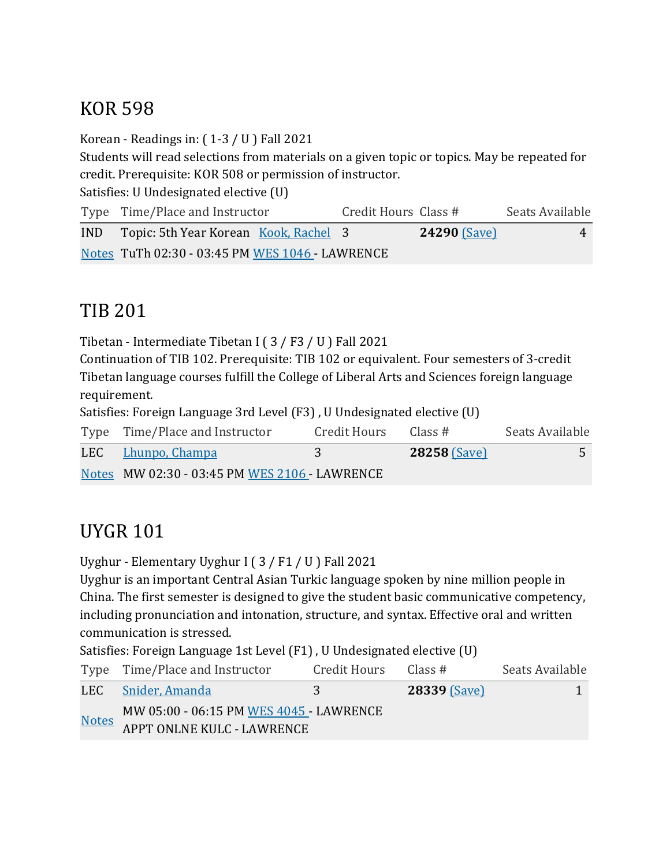## KOR 598

Korean - Readings in:  $(1-3 / U)$  Fall 2021

Students will read selections from materials on a given topic or topics. May be repeated for credit. Prerequisite: KOR 508 or permission of instructor.

Satisfies: U Undesignated elective (U)

| Type Time/Place and Instructor                  | Credit Hours Class # |                     | Seats Available |
|-------------------------------------------------|----------------------|---------------------|-----------------|
| IND Topic: 5th Year Korean Kook, Rachel 3       |                      | <b>24290 (Save)</b> | 4               |
| Notes TuTh 02:30 - 03:45 PM WES 1046 - LAWRENCE |                      |                     |                 |

## TIB 201

Tibetan - Intermediate Tibetan I ( $3$  / F $3$  / U ) Fall 2021

Continuation of TIB 102. Prerequisite: TIB 102 or equivalent. Four semesters of 3-credit Tibetan language courses fulfill the College of Liberal Arts and Sciences foreign language requirement.

Satisfies: Foreign Language 3rd Level (F3), U Undesignated elective (U)

| Type Time/Place and Instructor                | Credit Hours | Class #             | Seats Available |
|-----------------------------------------------|--------------|---------------------|-----------------|
| LEC Lhunpo, Champa                            |              | <b>28258 (Save)</b> |                 |
| Notes MW 02:30 - 03:45 PM WES 2106 - LAWRENCE |              |                     |                 |

## **UYGR 101**

Uyghur - Elementary Uyghur I (3 / F1 / U ) Fall 2021

Uyghur is an important Central Asian Turkic language spoken by nine million people in China. The first semester is designed to give the student basic communicative competency, including pronunciation and intonation, structure, and syntax. Effective oral and written communication is stressed.

Satisfies: Foreign Language 1st Level (F1), U Undesignated elective (U)

|              | Type Time/Place and Instructor                                        | Credit Hours Class # |                     | Seats Available |
|--------------|-----------------------------------------------------------------------|----------------------|---------------------|-----------------|
|              | LEC Snider, Amanda                                                    |                      | <b>28339 (Save)</b> |                 |
| <b>Notes</b> | MW 05:00 - 06:15 PM WES 4045 - LAWRENCE<br>APPT ONLNE KULC - LAWRENCE |                      |                     |                 |